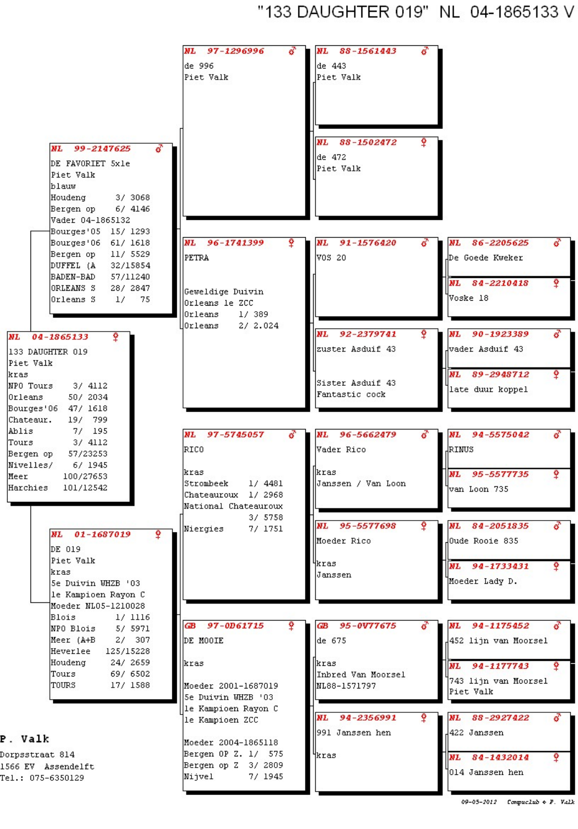"133 DAUGHTER 019" NL 04-1865133 V



| Meer (A+B | 307<br>27 |
|-----------|-----------|
| Heverlee  | 125/15228 |
| Houdeng   | 24/ 2659  |
| Tours     | 697 6502  |
| TOURS     | 17/ 1588  |

P. Valk

Dorpsstraat 814 1566 EV Assendelft Tel.: 075-6350129

|      | DE MOOIE            |  |                     |  |
|------|---------------------|--|---------------------|--|
| kras |                     |  |                     |  |
|      | Moeder 2001-1687019 |  |                     |  |
|      | 5e Duivin WHZB '03  |  |                     |  |
|      | le Kampioen Rayon C |  |                     |  |
|      | le Kampioen ZCC     |  |                     |  |
|      | Moeder 2004-1865118 |  |                     |  |
|      |                     |  | Bergen OP Z. 1/ 575 |  |
|      |                     |  | Bergen op Z 3/ 2809 |  |
|      | Nijvel              |  | 7/ 1945             |  |

| de 675                                     | 4452 lijn van Moorsel                                   |
|--------------------------------------------|---------------------------------------------------------|
| kras<br>Inbred Van Moorsel<br>NL88-1571797 | NL 94-1177743<br>۰<br>743 lijn van Moorsel<br>Piet Valk |
| NL<br>94-2356991<br>991 Janssen hen        | NL<br>88-2927422<br>422 Janssen                         |
| ikras                                      | ۰<br>NL 84-1432014<br>l014 Janssen hen                  |

<sup>09-05-2012</sup> Compuclub  $\triangle$  F. Valk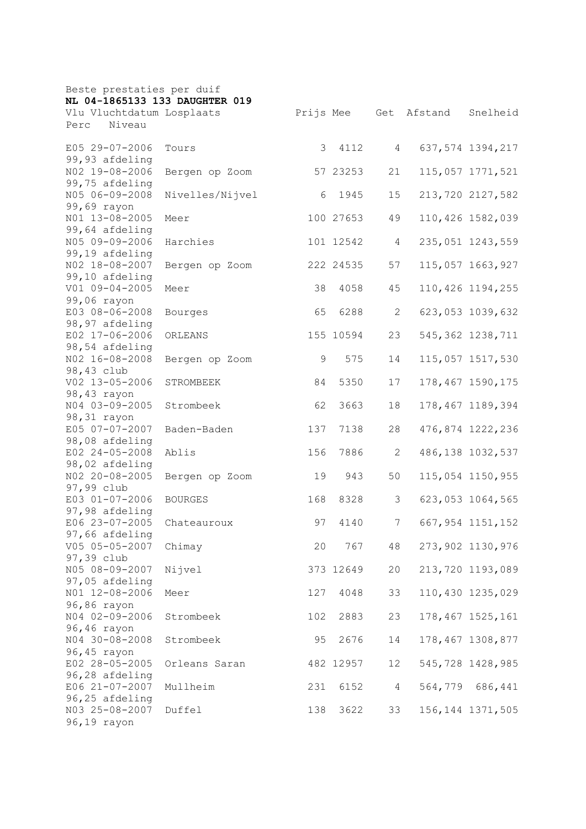| Beste prestaties per duif<br>NL 04-1865133 133 DAUGHTER 019 |                 |     |           |                |         |                    |  |
|-------------------------------------------------------------|-----------------|-----|-----------|----------------|---------|--------------------|--|
|                                                             |                 |     |           |                |         |                    |  |
| Vlu Vluchtdatum Losplaats<br>Niveau<br>Perc                 |                 |     | Prijs Mee | Get            | Afstand | Snelheid           |  |
|                                                             |                 |     |           |                |         |                    |  |
| E05 29-07-2006                                              | Tours           | 3   | 4112      | $\overline{4}$ |         | 637, 574 1394, 217 |  |
| 99,93 afdeling                                              |                 |     |           |                |         |                    |  |
| NO2 19-08-2006                                              | Bergen op Zoom  |     | 57 23253  | 21             |         | 115,057 1771,521   |  |
| 99,75 afdeling                                              |                 |     |           |                |         |                    |  |
| N05 06-09-2008                                              | Nivelles/Nijvel | 6   | 1945      | 15             |         | 213,720 2127,582   |  |
| 99,69 rayon                                                 |                 |     |           |                |         |                    |  |
| NO1 13-08-2005<br>99,64 afdeling                            | Meer            |     | 100 27653 | 49             |         | 110,426 1582,039   |  |
| N05 09-09-2006                                              | Harchies        |     | 101 12542 | 4              |         | 235,051 1243,559   |  |
| 99,19 afdeling                                              |                 |     |           |                |         |                    |  |
| NO2 18-08-2007                                              | Bergen op Zoom  |     | 222 24535 | 57             |         | 115,057 1663,927   |  |
| 99,10 afdeling                                              |                 |     |           |                |         |                    |  |
| V01 09-04-2005                                              | Meer            | 38  | 4058      | 45             |         | 110,426 1194,255   |  |
| 99,06 rayon                                                 |                 |     |           |                |         |                    |  |
| E03 08-06-2008                                              | Bourges         | 65  | 6288      | $\mathbf{2}$   |         | 623,053 1039,632   |  |
| 98,97 afdeling                                              |                 |     |           |                |         |                    |  |
| E02 17-06-2006                                              | ORLEANS         |     | 155 10594 | 23             |         | 545, 362 1238, 711 |  |
| 98,54 afdeling                                              |                 |     |           |                |         |                    |  |
| NO2 16-08-2008                                              | Bergen op Zoom  | 9   | 575       | 14             |         | 115,057 1517,530   |  |
| 98,43 club<br>V02 13-05-2006                                |                 | 84  | 5350      |                |         |                    |  |
| 98,43 rayon                                                 | STROMBEEK       |     |           | 17             |         | 178,467 1590,175   |  |
| N04 03-09-2005                                              | Strombeek       | 62  | 3663      | 18             |         | 178,467 1189,394   |  |
| 98,31 rayon                                                 |                 |     |           |                |         |                    |  |
| E05 07-07-2007                                              | Baden-Baden     | 137 | 7138      | 28             |         | 476,874 1222,236   |  |
| 98,08 afdeling                                              |                 |     |           |                |         |                    |  |
| E02 24-05-2008                                              | Ablis           | 156 | 7886      | 2              |         | 486, 138 1032, 537 |  |
| 98,02 afdeling                                              |                 |     |           |                |         |                    |  |
| NO2 20-08-2005                                              | Bergen op Zoom  | 19  | 943       | 50             |         | 115,054 1150,955   |  |
| 97,99 club                                                  |                 |     |           |                |         |                    |  |
| E03 01-07-2006                                              | <b>BOURGES</b>  | 168 | 8328      | 3              |         | 623,053 1064,565   |  |
| 97,98 afdeling                                              |                 |     |           |                |         |                    |  |
| E06 23-07-2005                                              | Chateauroux     | 97  | 4140      | 7              |         | 667, 954 1151, 152 |  |
| 97,66 afdeling<br>V05 05-05-2007                            | Chimay          | 20  | 767       | 48             |         | 273,902 1130,976   |  |
| 97,39 club                                                  |                 |     |           |                |         |                    |  |
| N05 08-09-2007                                              | Nijvel          |     | 373 12649 | 20             |         | 213,720 1193,089   |  |
| 97,05 afdeling                                              |                 |     |           |                |         |                    |  |
| NO1 12-08-2006                                              | Meer            | 127 | 4048      | 33             |         | 110,430 1235,029   |  |
| 96,86 rayon                                                 |                 |     |           |                |         |                    |  |
| N04 02-09-2006                                              | Strombeek       | 102 | 2883      | 23             |         | 178, 467 1525, 161 |  |
| 96,46 rayon                                                 |                 |     |           |                |         |                    |  |
| N04 30-08-2008                                              | Strombeek       | 95  | 2676      | 14             |         | 178,467 1308,877   |  |
| 96,45 rayon                                                 |                 |     |           |                |         |                    |  |
| E02 28-05-2005                                              | Orleans Saran   |     | 482 12957 | 12             |         | 545,728 1428,985   |  |
| 96,28 afdeling<br>E06 21-07-2007                            | Mullheim        | 231 | 6152      | $\overline{4}$ |         | 564,779 686,441    |  |
| 96,25 afdeling                                              |                 |     |           |                |         |                    |  |
| N03 25-08-2007                                              | Duffel          | 138 | 3622      | 33             |         | 156, 144 1371, 505 |  |
| 96,19 rayon                                                 |                 |     |           |                |         |                    |  |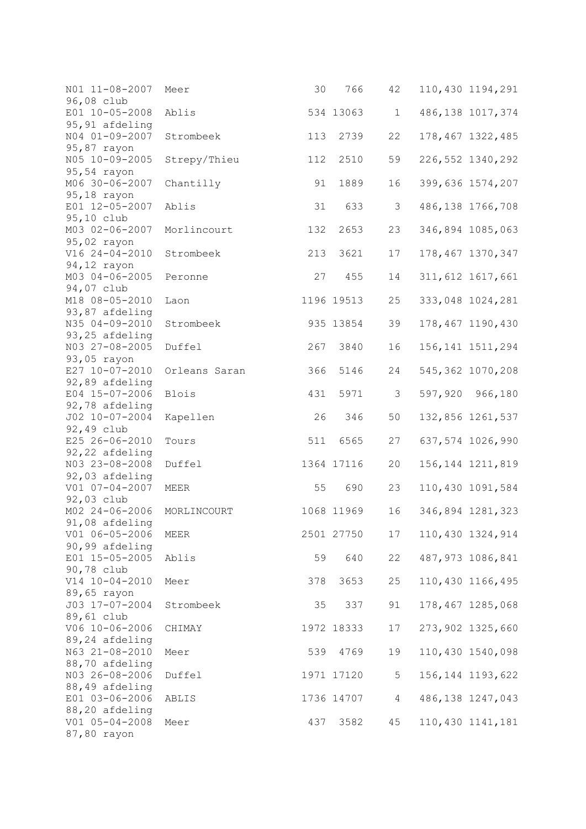| N01 11-08-2007<br>96,08 club     | Meer          | 30  | 766        | 42            | 110,430 1194,291   |  |
|----------------------------------|---------------|-----|------------|---------------|--------------------|--|
| E01 10-05-2008<br>95,91 afdeling | Ablis         |     | 534 13063  | $\mathbf 1$   | 486,138 1017,374   |  |
| N04 01-09-2007<br>95,87 rayon    | Strombeek     | 113 | 2739       | 22            | 178,467 1322,485   |  |
| N05 10-09-2005<br>95,54 rayon    | Strepy/Thieu  | 112 | 2510       | 59            | 226, 552 1340, 292 |  |
| M06 30-06-2007<br>95,18 rayon    | Chantilly     | 91  | 1889       | 16            | 399,636 1574,207   |  |
| E01 12-05-2007<br>95,10 club     | Ablis         | 31  | 633        | $\mathcal{S}$ | 486, 138 1766, 708 |  |
| M03 02-06-2007<br>95,02 rayon    | Morlincourt   | 132 | 2653       | 23            | 346,894 1085,063   |  |
| V16 24-04-2010<br>94,12 rayon    | Strombeek     | 213 | 3621       | 17            | 178, 467 1370, 347 |  |
| M03 04-06-2005<br>94,07 club     | Peronne       | 27  | 455        | 14            | 311, 612 1617, 661 |  |
| M18 08-05-2010<br>93,87 afdeling | Laon          |     | 1196 19513 | 25            | 333,048 1024,281   |  |
| N35 04-09-2010<br>93,25 afdeling | Strombeek     |     | 935 13854  | 39            | 178,467 1190,430   |  |
| N03 27-08-2005<br>93,05 rayon    | Duffel        | 267 | 3840       | 16            | 156, 141 1511, 294 |  |
| E27 10-07-2010<br>92,89 afdeling | Orleans Saran | 366 | 5146       | 24            | 545, 362 1070, 208 |  |
| E04 15-07-2006<br>92,78 afdeling | <b>Blois</b>  | 431 | 5971       | 3             | 597,920 966,180    |  |
| J02 10-07-2004<br>92,49 club     | Kapellen      | 26  | 346        | 50            | 132,856 1261,537   |  |
| E25 26-06-2010<br>92,22 afdeling | Tours         | 511 | 6565       | 27            | 637,574 1026,990   |  |
| N03 23-08-2008<br>92,03 afdeling | Duffel        |     | 1364 17116 | 20            | 156, 144 1211, 819 |  |
| V01 07-04-2007<br>92,03 club     | MEER          | 55  | 690        | 23            | 110,430 1091,584   |  |
| M02 24-06-2006<br>91,08 afdeling | MORLINCOURT   |     | 1068 11969 | 16            | 346,894 1281,323   |  |
| V01 06-05-2006<br>90,99 afdeling | MEER          |     | 2501 27750 | 17            | 110,430 1324,914   |  |
| E01 15-05-2005<br>90,78 club     | Ablis         | 59  | 640        | 22            | 487,973 1086,841   |  |
| V14 10-04-2010<br>89,65 rayon    | Meer          | 378 | 3653       | 25            | 110,430 1166,495   |  |
| J03 17-07-2004<br>89,61 club     | Strombeek     | 35  | 337        | 91            | 178,467 1285,068   |  |
| V06 10-06-2006<br>89,24 afdeling | CHIMAY        |     | 1972 18333 | 17            | 273,902 1325,660   |  |
| N63 21-08-2010<br>88,70 afdeling | Meer          | 539 | 4769       | 19            | 110,430 1540,098   |  |
| N03 26-08-2006<br>88,49 afdeling | Duffel        |     | 1971 17120 | 5             | 156, 144 1193, 622 |  |
| E01 03-06-2006<br>88,20 afdeling | ABLIS         |     | 1736 14707 | 4             | 486, 138 1247, 043 |  |
| V01 05-04-2008<br>87,80 rayon    | Meer          | 437 | 3582       | 45            | 110,430 1141,181   |  |